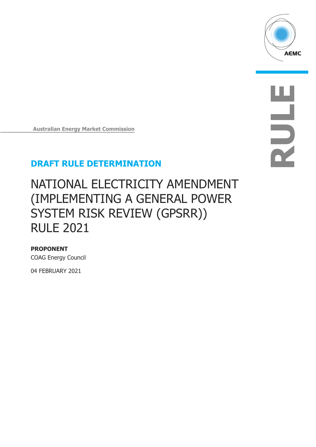

**RULE**

# **DRAFT RULE DETERMINATION**

**Australian Energy Market Commission**

# NATIONAL ELECTRICITY AMENDMENT (IMPLEMENTING A GENERAL POWER SYSTEM RISK REVIEW (GPSRR)) RULE 2021

## **PROPONENT**

COAG Energy Council

04 FEBRUARY 2021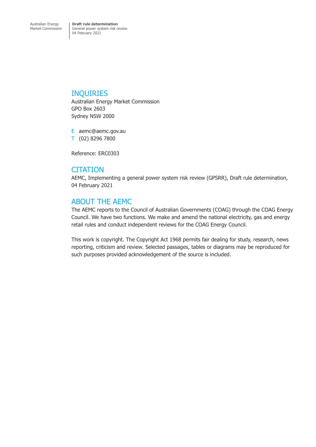### INQUIRIES

Australian Energy Market Commission GPO Box 2603 Sydney NSW 2000

E aemc@aemc.gov.au T (02) 8296 7800

Reference: ERC0303

## **CITATION**

AEMC, Implementing a general power system risk review (GPSRR), Draft rule determination, 04 February 2021

# ABOUT THE AEMC

The AEMC reports to the Council of Australian Governments (COAG) through the COAG Energy Council. We have two functions. We make and amend the national electricity, gas and energy retail rules and conduct independent reviews for the COAG Energy Council.

This work is copyright. The Copyright Act 1968 permits fair dealing for study, research, news reporting, criticism and review. Selected passages, tables or diagrams may be reproduced for such purposes provided acknowledgement of the source is included.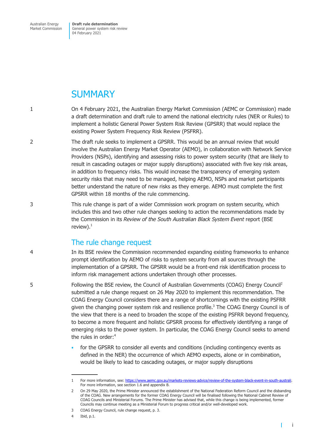Australian Energy Market Commission

**Draft rule determination** General power system risk review 04 February 2021

# **SUMMARY**

- 1 On 4 February 2021, the Australian Energy Market Commission (AEMC or Commission) made a draft determination and draft rule to amend the national electricity rules (NER or Rules) to implement a holistic General Power System Risk Review (GPSRR) that would replace the existing Power System Frequency Risk Review (PSFRR).
- 2 The draft rule seeks to implement a GPSRR. This would be an annual review that would involve the Australian Energy Market Operator (AEMO), in collaboration with Network Service Providers (NSPs), identifying and assessing risks to power system security (that are likely to result in cascading outages or major supply disruptions) associated with five key risk areas, in addition to frequency risks. This would increase the transparency of emerging system security risks that may need to be managed, helping AEMO, NSPs and market participants better understand the nature of new risks as they emerge. AEMO must complete the first GPSRR within 18 months of the rule commencing.
- 3 This rule change is part of a wider Commission work program on system security, which includes this and two other rule changes seeking to action the recommendations made by the Commission in its *Review of the South Australian Black System Event* report (BSE review $)$ .<sup>1</sup>

# The rule change request

4 In its BSE review the Commission recommended expanding existing frameworks to enhance prompt identification by AEMO of risks to system security from all sources through the implementation of a GPSRR. The GPSRR would be a front-end risk identification process to inform risk management actions undertaken through other processes.

Following the BSE review, the Council of Australian Governments (COAG) Energy Council2 5 submitted a rule change request on 26 May 2020 to implement this recommendation. The COAG Energy Council considers there are a range of shortcomings with the existing PSFRR given the changing power system risk and resilience profile.<sup>3</sup> The COAG Energy Council is of the view that there is a need to broaden the scope of the existing PSFRR beyond frequency, to become a more frequent and holistic GPSRR process for effectively identifying a range of emerging risks to the power system. In particular, the COAG Energy Council seeks to amend the rules in order:<sup>4</sup>

> • for the GPSRR to consider all events and conditions (including contingency events as defined in the NER) the occurrence of which AEMO expects, alone or in combination, would be likely to lead to cascading outages, or major supply disruptions

4 Ibid, p.1.

T

<sup>1</sup> For more information, see: [https://www.aemc.gov.au/markets-reviews-advice/review-of-the-system-black-event-in-south-australi.](https://www.aemc.gov.au/markets-reviews-advice/review-of-the-system-black-event-in-south-australi) For more information, see section 1.6 and appendix B.

<sup>2</sup> On 29 May 2020, the Prime Minister announced the establishment of the National Federation Reform Council and the disbanding of the COAG. New arrangements for the former COAG Energy Council will be finalised following the National Cabinet Review of COAG Councils and Ministerial Forums. The Prime Minister has advised that, while this change is being implemented, former Councils may continue meeting as a Ministerial Forum to progress critical and/or well-developed work.

<sup>3</sup> COAG Energy Council, rule change request, p. 3.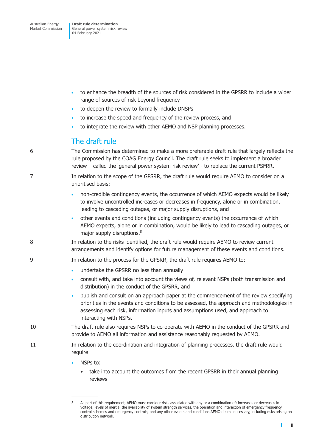- to enhance the breadth of the sources of risk considered in the GPSRR to include a wider range of sources of risk beyond frequency
- to deepen the review to formally include DNSPs
- to increase the speed and frequency of the review process, and
- to integrate the review with other AEMO and NSP planning processes.

### The draft rule

6 The Commission has determined to make a more preferable draft rule that largely reflects the rule proposed by the COAG Energy Council. The draft rule seeks to implement a broader review – called the 'general power system risk review' - to replace the current PSFRR.

- 7 In relation to the scope of the GPSRR, the draft rule would require AEMO to consider on a prioritised basis:
	- non-credible contingency events, the occurrence of which AEMO expects would be likely to involve uncontrolled increases or decreases in frequency, alone or in combination, leading to cascading outages, or major supply disruptions, and
	- other events and conditions (including contingency events) the occurrence of which AEMO expects, alone or in combination, would be likely to lead to cascading outages, or major supply disruptions.<sup>5</sup>
- 8 In relation to the risks identified, the draft rule would require AEMO to review current arrangements and identify options for future management of these events and conditions.
- 9 In relation to the process for the GPSRR, the draft rule requires AEMO to:
	- undertake the GPSRR no less than annually
	- consult with, and take into account the views of, relevant NSPs (both transmission and distribution) in the conduct of the GPSRR, and
	- publish and consult on an approach paper at the commencement of the review specifying priorities in the events and conditions to be assessed, the approach and methodologies in assessing each risk, information inputs and assumptions used, and approach to interacting with NSPs.
- 10 The draft rule also requires NSPs to co-operate with AEMO in the conduct of the GPSRR and provide to AEMO all information and assistance reasonably requested by AEMO.
- 11 In relation to the coordination and integration of planning processes, the draft rule would require:
	- NSPs to:
		- take into account the outcomes from the recent GPSRR in their annual planning reviews

 $\mathbf{I}$ 

<sup>5</sup> As part of this requirement, AEMO must consider risks associated with any or a combination of: increases or decreases in voltage, levels of inertia, the availability of system strength services, the operation and interaction of emergency frequency control schemes and emergency controls, and any other events and conditions AEMO deems necessary, including risks arising on distribution network.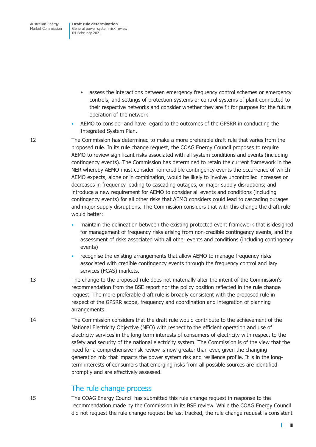- assess the interactions between emergency frequency control schemes or emergency controls; and settings of protection systems or control systems of plant connected to their respective networks and consider whether they are fit for purpose for the future operation of the network
- AEMO to consider and have regard to the outcomes of the GPSRR in conducting the Integrated System Plan.

12 The Commission has determined to make a more preferable draft rule that varies from the proposed rule. In its rule change request, the COAG Energy Council proposes to require AEMO to review significant risks associated with all system conditions and events (including contingency events). The Commission has determined to retain the current framework in the NER whereby AEMO must consider non-credible contingency events the occurrence of which AEMO expects, alone or in combination, would be likely to involve uncontrolled increases or decreases in frequency leading to cascading outages, or major supply disruptions; and introduce a new requirement for AEMO to consider all events and conditions (including contingency events) for all other risks that AEMO considers could lead to cascading outages and major supply disruptions. The Commission considers that with this change the draft rule would better:

- maintain the delineation between the existing protected event framework that is designed for management of frequency risks arising from non-credible contingency events, and the assessment of risks associated with all other events and conditions (including contingency events)
- recognise the existing arrangements that allow AEMO to manage frequency risks associated with credible contingency events through the frequency control ancillary services (FCAS) markets.
- 13 The change to the proposed rule does not materially alter the intent of the Commission's recommendation from the BSE report nor the policy position reflected in the rule change request. The more preferable draft rule is broadly consistent with the proposed rule in respect of the GPSRR scope, frequency and coordination and integration of planning arrangements.
- 14 The Commission considers that the draft rule would contribute to the achievement of the National Electricity Objective (NEO) with respect to the efficient operation and use of electricity services in the long-term interests of consumers of electricity with respect to the safety and security of the national electricity system. The Commission is of the view that the need for a comprehensive risk review is now greater than ever, given the changing generation mix that impacts the power system risk and resilience profile. It is in the longterm interests of consumers that emerging risks from all possible sources are identified promptly and are effectively assessed.

## The rule change process

15 The COAG Energy Council has submitted this rule change request in response to the recommendation made by the Commission in its BSE review. While the COAG Energy Council did not request the rule change request be fast tracked, the rule change request is consistent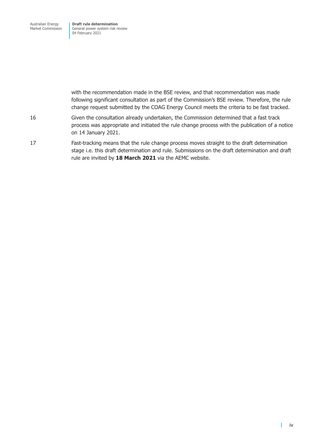Australian Energy Market Commission **Draft rule determination** General power system risk review 04 February 2021

with the recommendation made in the BSE review, and that recommendation was made following significant consultation as part of the Commission's BSE review. Therefore, the rule change request submitted by the COAG Energy Council meets the criteria to be fast tracked. 16 Given the consultation already undertaken, the Commission determined that a fast track process was appropriate and initiated the rule change process with the publication of a notice on 14 January 2021. 17 Fast-tracking means that the rule change process moves straight to the draft determination

stage i.e. this draft determination and rule. Submissions on the draft determination and draft rule are invited by **18 March 2021** via the AEMC website.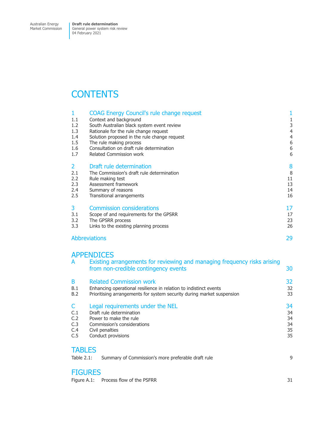# **CONTENTS**

|               | COAG Energy Council's rule change request    |                |
|---------------|----------------------------------------------|----------------|
| 1.1           | Context and background                       |                |
| 1.2           | South Australian black system event review   | 3              |
| 1.3           | Rationale for the rule change request        | $\overline{4}$ |
| 1.4           | Solution proposed in the rule change request | $\overline{4}$ |
| 1.5           | The rule making process                      | 6              |
| 1.6           | Consultation on draft rule determination     | 6              |
| 1.7           | <b>Related Commission work</b>               | 6              |
| $\mathcal{L}$ | Draft rule determination                     | 8              |
| 2.1           | The Commission's draft rule determination    | 8              |
| 2.2           | Rule making test                             | 11             |
| 2.3           | Assessment framework                         | 13             |
| 2.4           | Summary of reasons                           | 14             |
| 2.5           | Transitional arrangements                    | 16             |
| 3             | <b>Commission considerations</b>             | 17             |
| 3.1           | Scope of and requirements for the GPSRR      | 17             |
| 3.2           | The GPSRR process                            | 23             |
| 3.3           | Links to the existing planning process       | 26             |
|               | <b>Abbreviations</b>                         | 29             |
|               |                                              |                |

# **APPENDICES**

| $\mathbf{r}$ | LIVIJIVJEJ                                                                                                       |    |
|--------------|------------------------------------------------------------------------------------------------------------------|----|
| A            | Existing arrangements for reviewing and managing frequency risks arising<br>from non-credible contingency events | 30 |
| B            | <b>Related Commission work</b>                                                                                   | 32 |
| B.1          | Enhancing operational resilience in relation to indistinct events                                                | 32 |
| B.2          | Prioritising arrangements for system security during market suspension                                           | 33 |
| C            | Legal requirements under the NEL                                                                                 | 34 |
| C.1          | Draft rule determination                                                                                         | 34 |
| C.2          | Power to make the rule                                                                                           | 34 |
| C.3          | Commission's considerations                                                                                      | 34 |
| C.4          | Civil penalties                                                                                                  | 35 |
| C.5          | Conduct provisions                                                                                               | 35 |
| TADI FO      |                                                                                                                  |    |

| <b>TABLES</b><br>Table 2.1: | Summary of Commission's more preferable draft rule |  |
|-----------------------------|----------------------------------------------------|--|
| <b>FIGURES</b>              |                                                    |  |

[Figure A.1: Process flow of the PSFRR](#page-37-0) 31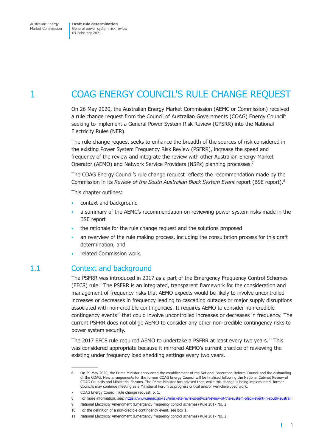# <span id="page-7-0"></span>1 COAG ENERGY COUNCIL'S RULE CHANGE REQUEST

On 26 May 2020, the Australian Energy Market Commission (AEMC or Commission) received a rule change request from the Council of Australian Governments (COAG) Energy Council6 seeking to implement a General Power System Risk Review (GPSRR) into the National Electricity Rules (NER).

The rule change request seeks to enhance the breadth of the sources of risk considered in the existing Power System Frequency Risk Review (PSFRR), increase the speed and frequency of the review and integrate the review with other Australian Energy Market Operator (AEMO) and Network Service Providers (NSPs) planning processes.<sup>7</sup>

The COAG Energy Council's rule change request reflects the recommendation made by the Commission in its *Review of the South Australian Black System Event* report (BSE report).8

This chapter outlines:

- context and background
- a summary of the AEMC's recommendation on reviewing power system risks made in the BSE report
- the rationale for the rule change request and the solutions proposed
- an overview of the rule making process, including the consultation process for this draft determination, and
- related Commission work.

## 1.1 Context and background

The PSFRR was introduced in 2017 as a part of the Emergency Frequency Control Schemes (EFCS) rule.<sup>9</sup> The PSFRR is an integrated, transparent framework for the consideration and management of frequency risks that AEMO expects would be likely to involve uncontrolled increases or decreases in frequency leading to cascading outages or major supply disruptions associated with non-credible contingencies. It requires AEMO to consider non-credible contingency events<sup>10</sup> that could involve uncontrolled increases or decreases in frequency. The current PSFRR does not oblige AEMO to consider any other non-credible contingency risks to power system security.

The 2017 EFCS rule required AEMO to undertake a PSFRR at least every two years.11 This was considered appropriate because it mirrored AEMO's current practice of reviewing the existing under frequency load shedding settings every two years.

т

<sup>6</sup> On 29 May 2020, the Prime Minister announced the establishment of the National Federation Reform Council and the disbanding of the COAG. New arrangements for the former COAG Energy Council will be finalised following the National Cabinet Review of COAG Councils and Ministerial Forums. The Prime Minister has advised that, while this change is being implemented, former Councils may continue meeting as a Ministerial Forum to progress critical and/or well-developed work.

<sup>7</sup> COAG Enerav Council, rule change request, p. 1.

<sup>8</sup> For more information, see:<https://www.aemc.gov.au/markets-reviews-advice/review-of-the-system-black-event-in-south-australi>

<sup>9</sup> National Electricity Amendment (Emergency frequency control schemes) Rule 2017 No. 2.

<sup>10</sup> For the definition of a non-credible contingency event, see box 1.

<sup>11</sup> National Electricity Amendment (Emergency frequency control schemes) Rule 2017 No. 2.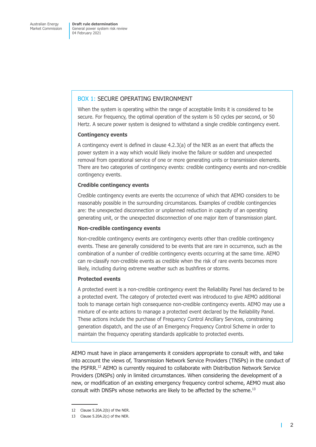#### BOX 1: SECURE OPERATING ENVIRONMENT

When the system is operating within the range of acceptable limits it is considered to be secure. For frequency, the optimal operation of the system is 50 cycles per second, or 50 Hertz. A secure power system is designed to withstand a single credible contingency event.

#### **Contingency events**

A contingency event is defined in clause 4.2.3(a) of the NER as an event that affects the power system in a way which would likely involve the failure or sudden and unexpected removal from operational service of one or more generating units or transmission elements. There are two categories of contingency events: credible contingency events and non-credible contingency events.

#### **Credible contingency events**

Credible contingency events are events the occurrence of which that AEMO considers to be reasonably possible in the surrounding circumstances. Examples of credible contingencies are: the unexpected disconnection or unplanned reduction in capacity of an operating generating unit, or the unexpected disconnection of one major item of transmission plant.

#### **Non-credible contingency events**

Non-credible contingency events are contingency events other than credible contingency events. These are generally considered to be events that are rare in occurrence, such as the combination of a number of credible contingency events occurring at the same time. AEMO can re-classify non-credible events as credible when the risk of rare events becomes more likely, including during extreme weather such as bushfires or storms.

#### **Protected events**

A protected event is a non-credible contingency event the Reliability Panel has declared to be a protected event. The category of protected event was introduced to give AEMO additional tools to manage certain high consequence non-credible contingency events. AEMO may use a mixture of ex-ante actions to manage a protected event declared by the Reliability Panel. These actions include the purchase of Frequency Control Ancillary Services, constraining generation dispatch, and the use of an Emergency Frequency Control Scheme in order to maintain the frequency operating standards applicable to protected events.

AEMO must have in place arrangements it considers appropriate to consult with, and take into account the views of, Transmission Network Service Providers (TNSPs) in the conduct of the PSFRR.<sup>12</sup> AEMO is currently required to collaborate with Distribution Network Service Providers (DNSPs) only in limited circumstances. When considering the development of a new, or modification of an existing emergency frequency control scheme, AEMO must also consult with DNSPs whose networks are likely to be affected by the scheme.<sup>13</sup>

т

<sup>12</sup> Clause 5.20A.2(b) of the NER.

<sup>13</sup> Clause 5.20A.2(c) of the NER.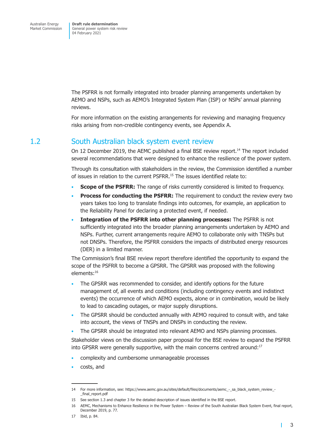<span id="page-9-0"></span>The PSFRR is not formally integrated into broader planning arrangements undertaken by AEMO and NSPs, such as AEMO's Integrated System Plan (ISP) or NSPs' annual planning reviews.

For more information on the existing arrangements for reviewing and managing frequency risks arising from non-credible contingency events, see Appendix A.

# 1.2 South Australian black system event review

On 12 December 2019, the AEMC published a final BSE review report.<sup>14</sup> The report included several recommendations that were designed to enhance the resilience of the power system.

Through its consultation with stakeholders in the review, the Commission identified a number of issues in relation to the current PSFRR.15 The issues identified relate to:

- **Scope of the PSFRR:** The range of risks currently considered is limited to frequency.
- **Process for conducting the PSFRR:** The requirement to conduct the review every two years takes too long to translate findings into outcomes, for example, an application to the Reliability Panel for declaring a protected event, if needed.
- **Integration of the PSFRR into other planning processes:** The PSFRR is not sufficiently integrated into the broader planning arrangements undertaken by AEMO and NSPs. Further, current arrangements require AEMO to collaborate only with TNSPs but not DNSPs. Therefore, the PSFRR considers the impacts of distributed energy resources (DER) in a limited manner.

The Commission's final BSE review report therefore identified the opportunity to expand the scope of the PSFRR to become a GPSRR. The GPSRR was proposed with the following elements:16

- The GPSRR was recommended to consider, and identify options for the future management of, all events and conditions (including contingency events and indistinct events) the occurrence of which AEMO expects, alone or in combination, would be likely to lead to cascading outages, or major supply disruptions.
- The GPSRR should be conducted annually with AEMO required to consult with, and take into account, the views of TNSPs and DNSPs in conducting the review.
- The GPSRR should be integrated into relevant AEMO and NSPs planning processes.

Stakeholder views on the discussion paper proposal for the BSE review to expand the PSFRR into GPSRR were generally supportive, with the main concerns centred around:<sup>17</sup>

- complexity and cumbersome unmanageable processes
- costs, and

 $\mathbf{I}$ 

<sup>14</sup> For more information, see: https://www.aemc.gov.au/sites/default/files/documents/aemc\_-\_sa\_black\_system\_review\_ final report.pdf

<sup>15</sup> See section 1.3 and chapter 3 for the detailed description of issues identified in the BSE report.

<sup>16</sup> AEMC, Mechanisms to Enhance Resilience in the Power System – Review of the South Australian Black System Event, final report, December 2019, p. 77.

<sup>17</sup> Ibid, p. 84.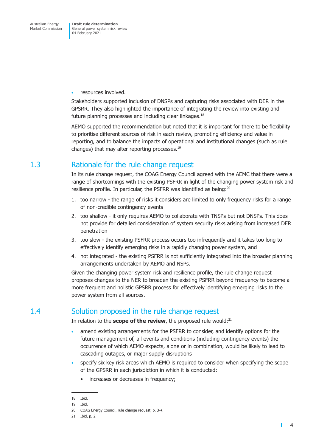<span id="page-10-0"></span>resources involved.

Stakeholders supported inclusion of DNSPs and capturing risks associated with DER in the GPSRR. They also highlighted the importance of integrating the review into existing and future planning processes and including clear linkages. $18$ 

AEMO supported the recommendation but noted that it is important for there to be flexibility to prioritise different sources of risk in each review, promoting efficiency and value in reporting, and to balance the impacts of operational and institutional changes (such as rule changes) that may alter reporting processes.19

# 1.3 Rationale for the rule change request

In its rule change request, the COAG Energy Council agreed with the AEMC that there were a range of shortcomings with the existing PSFRR in light of the changing power system risk and resilience profile. In particular, the PSFRR was identified as being:20

- 1. too narrow the range of risks it considers are limited to only frequency risks for a range of non-credible contingency events
- 2. too shallow it only requires AEMO to collaborate with TNSPs but not DNSPs. This does not provide for detailed consideration of system security risks arising from increased DER penetration
- 3. too slow the existing PSFRR process occurs too infrequently and it takes too long to effectively identify emerging risks in a rapidly changing power system, and
- 4. not integrated the existing PSFRR is not sufficiently integrated into the broader planning arrangements undertaken by AEMO and NSPs.

Given the changing power system risk and resilience profile, the rule change request proposes changes to the NER to broaden the existing PSFRR beyond frequency to become a more frequent and holistic GPSRR process for effectively identifying emerging risks to the power system from all sources.

## 1.4 Solution proposed in the rule change request

In relation to the **scope of the review**, the proposed rule would:<sup>21</sup>

- amend existing arrangements for the PSFRR to consider, and identify options for the future management of, all events and conditions (including contingency events) the occurrence of which AEMO expects, alone or in combination, would be likely to lead to cascading outages, or major supply disruptions
- specify six key risk areas which AEMO is required to consider when specifying the scope of the GPSRR in each jurisdiction in which it is conducted:
	- increases or decreases in frequency;

т

<sup>18</sup> Ibid.

<sup>19</sup> Ibid.

<sup>20</sup> COAG Energy Council, rule change request, p. 3-4.

<sup>21</sup> Ibid, p. 2.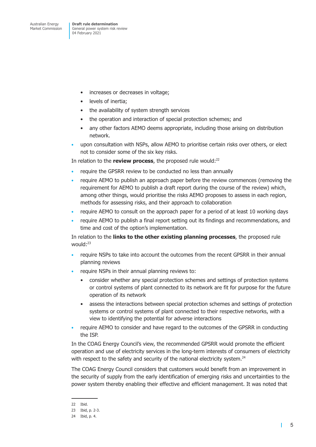- increases or decreases in voltage;
- levels of inertia;
- the availability of system strength services
- the operation and interaction of special protection schemes; and
- any other factors AEMO deems appropriate, including those arising on distribution network.
- upon consultation with NSPs, allow AEMO to prioritise certain risks over others, or elect not to consider some of the six key risks.

In relation to the **review process**, the proposed rule would:<sup>22</sup>

- require the GPSRR review to be conducted no less than annually
- require AEMO to publish an approach paper before the review commences (removing the requirement for AEMO to publish a draft report during the course of the review) which, among other things, would prioritise the risks AEMO proposes to assess in each region, methods for assessing risks, and their approach to collaboration
- require AEMO to consult on the approach paper for a period of at least 10 working days
- require AEMO to publish a final report setting out its findings and recommendations, and time and cost of the option's implementation.

In relation to the **links to the other existing planning processes**, the proposed rule would:<sup>23</sup>

- require NSPs to take into account the outcomes from the recent GPSRR in their annual planning reviews
- require NSPs in their annual planning reviews to:
	- consider whether any special protection schemes and settings of protection systems or control systems of plant connected to its network are fit for purpose for the future operation of its network
	- assess the interactions between special protection schemes and settings of protection systems or control systems of plant connected to their respective networks, with a view to identifying the potential for adverse interactions
- require AEMO to consider and have regard to the outcomes of the GPSRR in conducting the ISP.

In the COAG Energy Council's view, the recommended GPSRR would promote the efficient operation and use of electricity services in the long-term interests of consumers of electricity with respect to the safety and security of the national electricity system.<sup>24</sup>

The COAG Energy Council considers that customers would benefit from an improvement in the security of supply from the early identification of emerging risks and uncertainties to the power system thereby enabling their effective and efficient management. It was noted that

т

<sup>22</sup> Ibid.

<sup>23</sup> Ibid, p. 2-3.

<sup>24</sup> Ibid, p. 4.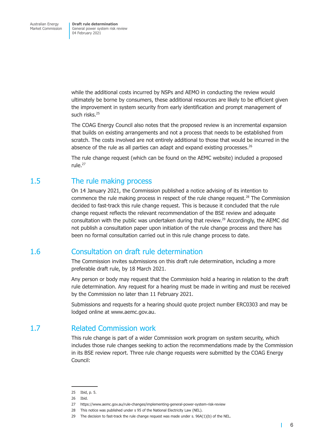<span id="page-12-0"></span>while the additional costs incurred by NSPs and AEMO in conducting the review would ultimately be borne by consumers, these additional resources are likely to be efficient given the improvement in system security from early identification and prompt management of such risks.25

The COAG Energy Council also notes that the proposed review is an incremental expansion that builds on existing arrangements and not a process that needs to be established from scratch. The costs involved are not entirely additional to those that would be incurred in the absence of the rule as all parties can adapt and expand existing processes. $^{26}$ 

The rule change request (which can be found on the AEMC website) included a proposed rule.27

## 1.5 The rule making process

On 14 January 2021, the Commission published a notice advising of its intention to commence the rule making process in respect of the rule change request.28 The Commission decided to fast-track this rule change request. This is because it concluded that the rule change request reflects the relevant recommendation of the BSE review and adequate consultation with the public was undertaken during that review.<sup>29</sup> Accordingly, the AEMC did not publish a consultation paper upon initiation of the rule change process and there has been no formal consultation carried out in this rule change process to date.

## 1.6 Consultation on draft rule determination

The Commission invites submissions on this draft rule determination, including a more preferable draft rule, by 18 March 2021.

Any person or body may request that the Commission hold a hearing in relation to the draft rule determination. Any request for a hearing must be made in writing and must be received by the Commission no later than 11 February 2021.

Submissions and requests for a hearing should quote project number ERC0303 and may be lodged online at www.aemc.gov.au.

## 1.7 Related Commission work

This rule change is part of a wider Commission work program on system security, which includes those rule changes seeking to action the recommendations made by the Commission in its BSE review report. Three rule change requests were submitted by the COAG Energy Council:

П

<sup>25</sup> Ibid, p. 5.

<sup>26</sup> Ibid.

<sup>27</sup> https://www.aemc.gov.au/rule-changes/implementing-general-power-system-risk-review

<sup>28</sup> This notice was published under s 95 of the National Electricity Law (NEL).

<sup>29</sup> The decision to fast-track the rule change request was made under s. 96A(1)(b) of the NEL.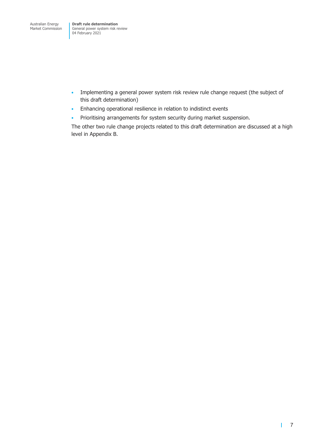- Implementing a general power system risk review rule change request (the subject of this draft determination)
- Enhancing operational resilience in relation to indistinct events
- Prioritising arrangements for system security during market suspension.

The other two rule change projects related to this draft determination are discussed at a high level in Appendix B.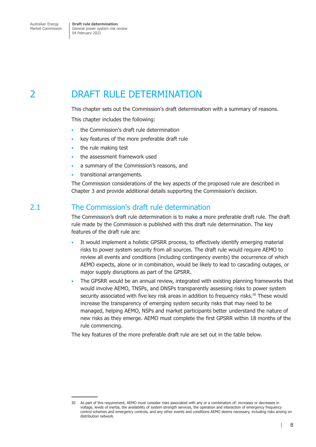# <span id="page-14-0"></span>2 DRAFT RULE DETERMINATION

This chapter sets out the Commission's draft determination with a summary of reasons.

This chapter includes the following:

- the Commission's draft rule determination
- key features of the more preferable draft rule
- the rule making test
- the assessment framework used
- a summary of the Commission's reasons, and
- transitional arrangements.

The Commission considerations of the key aspects of the proposed rule are described in Chapter 3 and provide additional details supporting the Commission's decision.

# 2.1 The Commission's draft rule determination

The Commission's draft rule determination is to make a more preferable draft rule. The draft rule made by the Commission is published with this draft rule determination. The key features of the draft rule are:

- It would implement a holistic GPSRR process, to effectively identify emerging material risks to power system security from all sources. The draft rule would require AEMO to review all events and conditions (including contingency events) the occurrence of which AEMO expects, alone or in combination, would be likely to lead to cascading outages, or major supply disruptions as part of the GPSRR.
- The GPSRR would be an annual review, integrated with existing planning frameworks that would involve AEMO, TNSPs, and DNSPs transparently assessing risks to power system security associated with five key risk areas in addition to frequency risks.<sup>30</sup> These would increase the transparency of emerging system security risks that may need to be managed, helping AEMO, NSPs and market participants better understand the nature of new risks as they emerge. AEMO must complete the first GPSRR within 18 months of the rule commencing.

The key features of the more preferable draft rule are set out in the table below.

 $\mathbf{I}$ 

<sup>30</sup> As part of this requirement, AEMO must consider risks associated with any or a combination of: increases or decreases in voltage, levels of inertia, the availability of system strength services, the operation and interaction of emergency frequency control schemes and emergency controls, and any other events and conditions AEMO deems necessary, including risks arising on distribution network.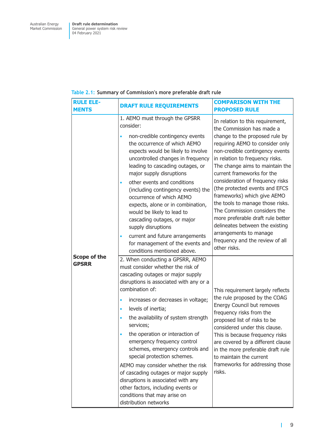| <b>RULE ELE-</b><br><b>MENTS</b> | <b>DRAFT RULE REQUIREMENTS</b>                                                                                                                                                                                                                                                                                                                                                                                                                                                                                                                                                                                                                       | <b>COMPARISON WITH THE</b><br><b>PROPOSED RULE</b>                                                                                                                                                                                                                                                                                                                                                                                                                                                                                                                                                      |
|----------------------------------|------------------------------------------------------------------------------------------------------------------------------------------------------------------------------------------------------------------------------------------------------------------------------------------------------------------------------------------------------------------------------------------------------------------------------------------------------------------------------------------------------------------------------------------------------------------------------------------------------------------------------------------------------|---------------------------------------------------------------------------------------------------------------------------------------------------------------------------------------------------------------------------------------------------------------------------------------------------------------------------------------------------------------------------------------------------------------------------------------------------------------------------------------------------------------------------------------------------------------------------------------------------------|
|                                  | 1. AEMO must through the GPSRR<br>consider:<br>non-credible contingency events<br>the occurrence of which AEMO<br>expects would be likely to involve<br>uncontrolled changes in frequency<br>leading to cascading outages, or<br>major supply disruptions<br>other events and conditions<br>(including contingency events) the<br>occurrence of which AEMO<br>expects, alone or in combination,<br>would be likely to lead to<br>cascading outages, or major<br>supply disruptions<br>current and future arrangements<br>٠<br>for management of the events and<br>conditions mentioned above.                                                        | In relation to this requirement,<br>the Commission has made a<br>change to the proposed rule by<br>requiring AEMO to consider only<br>non-credible contingency events<br>in relation to frequency risks.<br>The change aims to maintain the<br>current frameworks for the<br>consideration of frequency risks<br>(the protected events and EFCS<br>frameworks) which give AEMO<br>the tools to manage those risks.<br>The Commission considers the<br>more preferable draft rule better<br>delineates between the existing<br>arrangements to manage<br>frequency and the review of all<br>other risks. |
| Scope of the<br><b>GPSRR</b>     | 2. When conducting a GPSRR, AEMO<br>must consider whether the risk of<br>cascading outages or major supply<br>disruptions is associated with any or a<br>combination of:<br>increases or decreases in voltage;<br>levels of inertia;<br>۰<br>the availability of system strength<br>services;<br>the operation or interaction of<br>emergency frequency control<br>schemes, emergency controls and<br>special protection schemes.<br>AEMO may consider whether the risk<br>of cascading outages or major supply<br>disruptions is associated with any<br>other factors, including events or<br>conditions that may arise on<br>distribution networks | This requirement largely reflects<br>the rule proposed by the COAG<br>Energy Council but removes<br>frequency risks from the<br>proposed list of risks to be<br>considered under this clause.<br>This is because frequency risks<br>are covered by a different clause<br>in the more preferable draft rule<br>to maintain the current<br>frameworks for addressing those<br>risks.                                                                                                                                                                                                                      |

#### <span id="page-15-0"></span>**Table 2.1: Summary of Commission's more preferable draft rule**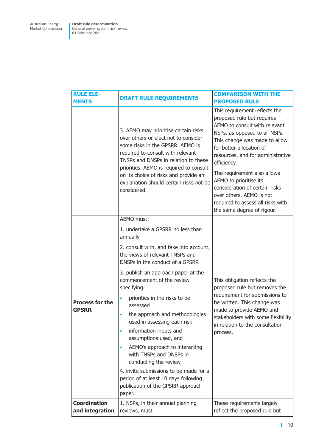| <b>RULE ELE-</b><br><b>MENTS</b>       | <b>DRAFT RULE REQUIREMENTS</b>                                                                                                                                                                                                                                                                                                                                                                                                                                                                                                                                                                                                                   | <b>COMPARISON WITH THE</b><br><b>PROPOSED RULE</b>                                                                                                                                                                                                                                                                                                                                                                                       |
|----------------------------------------|--------------------------------------------------------------------------------------------------------------------------------------------------------------------------------------------------------------------------------------------------------------------------------------------------------------------------------------------------------------------------------------------------------------------------------------------------------------------------------------------------------------------------------------------------------------------------------------------------------------------------------------------------|------------------------------------------------------------------------------------------------------------------------------------------------------------------------------------------------------------------------------------------------------------------------------------------------------------------------------------------------------------------------------------------------------------------------------------------|
|                                        | 3. AEMO may prioritise certain risks<br>over others or elect not to consider<br>some risks in the GPSRR. AEMO is<br>required to consult with relevant<br>TNSPs and DNSPs in relation to these<br>priorities. AEMO is required to consult<br>on its choice of risks and provide an<br>explanation should certain risks not be<br>considered.                                                                                                                                                                                                                                                                                                      | This requirement reflects the<br>proposed rule but requires<br>AEMO to consult with relevant<br>NSPs, as opposed to all NSPs.<br>This change was made to allow<br>for better allocation of<br>resources, and for administrative<br>efficiency.<br>The requirement also allows<br>AEMO to prioritise its<br>consideration of certain risks<br>over others. AEMO is not<br>required to assess all risks with<br>the same degree of rigour. |
| <b>Process for the</b><br><b>GPSRR</b> | AEMO must:<br>1. undertake a GPSRR no less than<br>annually<br>2. consult with, and take into account,<br>the views of relevant TNSPs and<br>DNSPs in the conduct of a GPSRR<br>3. publish an approach paper at the<br>commencement of the review<br>specifying:<br>priorities in the risks to be<br>assessed<br>the approach and methodologies<br>$\bullet$<br>used in assessing each risk<br>information inputs and<br>$\bullet$<br>assumptions used, and<br>AEMO's approach to interacting<br>$\bullet$<br>with TNSPs and DNSPs in<br>conducting the review<br>4. invite submissions to be made for a<br>period of at least 10 days following | This obligation reflects the<br>proposed rule but removes the<br>requirement for submissions to<br>be written. This change was<br>made to provide AEMO and<br>stakeholders with some flexibility<br>in relation to the consultation<br>process.                                                                                                                                                                                          |
| <b>Coordination</b>                    | publication of the GPSRR approach<br>paper.<br>1. NSPs, in their annual planning                                                                                                                                                                                                                                                                                                                                                                                                                                                                                                                                                                 | These requirements largely                                                                                                                                                                                                                                                                                                                                                                                                               |
| and integration                        | reviews, must                                                                                                                                                                                                                                                                                                                                                                                                                                                                                                                                                                                                                                    | reflect the proposed rule but                                                                                                                                                                                                                                                                                                                                                                                                            |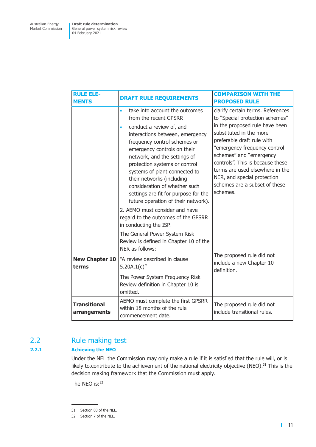<span id="page-17-0"></span>

| <b>RULE ELE-</b><br><b>MENTS</b>    | <b>DRAFT RULE REQUIREMENTS</b>                                                                                                                                                                                                                                                                                                                                                                                                                                 | <b>COMPARISON WITH THE</b><br><b>PROPOSED RULE</b>                                                                                                                                                                                                                                                                                                                            |
|-------------------------------------|----------------------------------------------------------------------------------------------------------------------------------------------------------------------------------------------------------------------------------------------------------------------------------------------------------------------------------------------------------------------------------------------------------------------------------------------------------------|-------------------------------------------------------------------------------------------------------------------------------------------------------------------------------------------------------------------------------------------------------------------------------------------------------------------------------------------------------------------------------|
|                                     | take into account the outcomes<br>$\bullet$<br>from the recent GPSRR<br>conduct a review of, and<br>$\bullet$<br>interactions between, emergency<br>frequency control schemes or<br>emergency controls on their<br>network, and the settings of<br>protection systems or control<br>systems of plant connected to<br>their networks (including<br>consideration of whether such<br>settings are fit for purpose for the<br>future operation of their network). | clarify certain terms. References<br>to "Special protection schemes"<br>in the proposed rule have been<br>substituted in the more<br>preferable draft rule with<br>"emergency frequency control<br>schemes" and "emergency<br>controls". This is because these<br>terms are used elsewhere in the<br>NER, and special protection<br>schemes are a subset of these<br>schemes. |
|                                     | 2. AEMO must consider and have<br>regard to the outcomes of the GPSRR<br>in conducting the ISP.                                                                                                                                                                                                                                                                                                                                                                |                                                                                                                                                                                                                                                                                                                                                                               |
| <b>New Chapter 10</b><br>terms      | The General Power System Risk<br>Review is defined in Chapter 10 of the<br>NER as follows:<br>"A review described in clause<br>5.20A.1(c)''                                                                                                                                                                                                                                                                                                                    | The proposed rule did not<br>include a new Chapter 10<br>definition.                                                                                                                                                                                                                                                                                                          |
|                                     | The Power System Frequency Risk<br>Review definition in Chapter 10 is<br>omitted.                                                                                                                                                                                                                                                                                                                                                                              |                                                                                                                                                                                                                                                                                                                                                                               |
| <b>Transitional</b><br>arrangements | AEMO must complete the first GPSRR<br>within 18 months of the rule<br>commencement date.                                                                                                                                                                                                                                                                                                                                                                       | The proposed rule did not<br>include transitional rules.                                                                                                                                                                                                                                                                                                                      |

# 2.2 Rule making test

#### **2.2.1 Achieving the NEO**

Under the NEL the Commission may only make a rule if it is satisfied that the rule will, or is likely to, contribute to the achievement of the national electricity objective (NEO).<sup>31</sup> This is the decision making framework that the Commission must apply.

The NEO is:<sup>32</sup>

<sup>31</sup> Section 88 of the NEL.

<sup>32</sup> Section 7 of the NEL.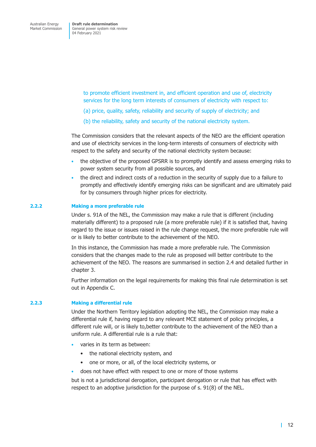> to promote efficient investment in, and efficient operation and use of, electricity services for the long term interests of consumers of electricity with respect to:

- (a) price, quality, safety, reliability and security of supply of electricity; and
- (b) the reliability, safety and security of the national electricity system.

The Commission considers that the relevant aspects of the NEO are the efficient operation and use of electricity services in the long-term interests of consumers of electricity with respect to the safety and security of the national electricity system because:

- the objective of the proposed GPSRR is to promptly identify and assess emerging risks to power system security from all possible sources, and
- the direct and indirect costs of a reduction in the security of supply due to a failure to promptly and effectively identify emerging risks can be significant and are ultimately paid for by consumers through higher prices for electricity.

#### **2.2.2 Making a more preferable rule**

Under s. 91A of the NEL, the Commission may make a rule that is different (including materially different) to a proposed rule (a more preferable rule) if it is satisfied that, having regard to the issue or issues raised in the rule change request, the more preferable rule will or is likely to better contribute to the achievement of the NEO.

In this instance, the Commission has made a more preferable rule. The Commission considers that the changes made to the rule as proposed will better contribute to the achievement of the NEO. The reasons are summarised in section 2.4 and detailed further in chapter 3.

Further information on the legal requirements for making this final rule determination is set out in Appendix C.

#### **2.2.3 Making a differential rule**

Under the Northern Territory legislation adopting the NEL, the Commission may make a differential rule if, having regard to any relevant MCE statement of policy principles, a different rule will, or is likely to,better contribute to the achievement of the NEO than a uniform rule. A differential rule is a rule that:

- varies in its term as between:
	- the national electricity system, and
	- one or more, or all, of the local electricity systems, or
- does not have effect with respect to one or more of those systems

but is not a jurisdictional derogation, participant derogation or rule that has effect with respect to an adoptive jurisdiction for the purpose of s. 91(8) of the NEL.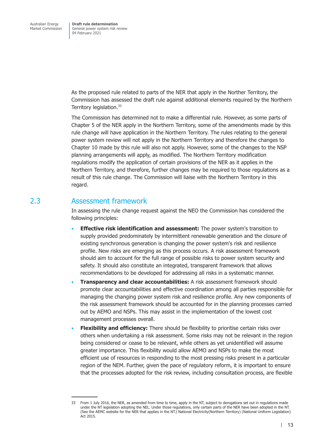<span id="page-19-0"></span>As the proposed rule related to parts of the NER that apply in the Norther Territory, the Commission has assessed the draft rule against additional elements required by the Northern Territory legislation.<sup>33</sup>

The Commission has determined not to make a differential rule. However, as some parts of Chapter 5 of the NER apply in the Northern Territory, some of the amendments made by this rule change will have application in the Northern Territory. The rules relating to the general power system review will not apply in the Northern Territory and therefore the changes to Chapter 10 made by this rule will also not apply. However, some of the changes to the NSP planning arrangements will apply, as modified. The Northern Territory modification regulations modify the application of certain provisions of the NER as it applies in the Northern Territory, and therefore, further changes may be required to those regulations as a result of this rule change. The Commission will liaise with the Northern Territory in this regard.

## 2.3 Assessment framework

In assessing the rule change request against the NEO the Commission has considered the following principles:

- **Effective risk identification and assessment:** The power system's transition to supply provided predominately by intermittent renewable generation and the closure of existing synchronous generation is changing the power system's risk and resilience profile. New risks are emerging as this process occurs. A risk assessment framework should aim to account for the full range of possible risks to power system security and safety. It should also constitute an integrated, transparent framework that allows recommendations to be developed for addressing all risks in a systematic manner.
- **Transparency and clear accountabilities:** A risk assessment framework should promote clear accountabilities and effective coordination among all parties responsible for managing the changing power system risk and resilience profile. Any new components of the risk assessment framework should be accounted for in the planning processes carried out by AEMO and NSPs. This may assist in the implementation of the lowest cost management processes overall.
- **Flexibility and efficiency:** There should be flexibility to prioritise certain risks over others when undertaking a risk assessment. Some risks may not be relevant in the region being considered or cease to be relevant, while others as yet unidentified will assume greater importance. This flexibility would allow AEMO and NSPs to make the most efficient use of resources in responding to the most pressing risks present in a particular region of the NEM. Further, given the pace of regulatory reform, it is important to ensure that the processes adopted for the risk review, including consultation process, are flexible

<sup>33</sup> From 1 July 2016, the NER, as amended from time to time, apply in the NT, subject to derogations set out in regulations made under the NT legislation adopting the NEL. Under those regulations, only certain parts of the NER have been adopted in the NT. (See the AEMC website for the NER that applies in the NT.) National Electricity(Northern Territory) (National Uniform Legislation) Act 2015.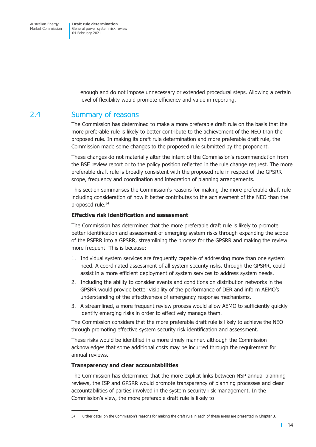> enough and do not impose unnecessary or extended procedural steps. Allowing a certain level of flexibility would promote efficiency and value in reporting.

# <span id="page-20-0"></span>2.4 Summary of reasons

The Commission has determined to make a more preferable draft rule on the basis that the more preferable rule is likely to better contribute to the achievement of the NEO than the proposed rule. In making its draft rule determination and more preferable draft rule, the Commission made some changes to the proposed rule submitted by the proponent.

These changes do not materially alter the intent of the Commission's recommendation from the BSE review report or to the policy position reflected in the rule change request. The more preferable draft rule is broadly consistent with the proposed rule in respect of the GPSRR scope, frequency and coordination and integration of planning arrangements.

This section summarises the Commission's reasons for making the more preferable draft rule including consideration of how it better contributes to the achievement of the NEO than the proposed rule.<sup>34</sup>

#### **Effective risk identification and assessment**

The Commission has determined that the more preferable draft rule is likely to promote better identification and assessment of emerging system risks through expanding the scope of the PSFRR into a GPSRR, streamlining the process for the GPSRR and making the review more frequent. This is because:

- 1. Individual system services are frequently capable of addressing more than one system need. A coordinated assessment of all system security risks, through the GPSRR, could assist in a more efficient deployment of system services to address system needs.
- 2. Including the ability to consider events and conditions on distribution networks in the GPSRR would provide better visibility of the performance of DER and inform AEMO's understanding of the effectiveness of emergency response mechanisms.
- 3. A streamlined, a more frequent review process would allow AEMO to sufficiently quickly identify emerging risks in order to effectively manage them.

The Commission considers that the more preferable draft rule is likely to achieve the NEO through promoting effective system security risk identification and assessment.

These risks would be identified in a more timely manner, although the Commission acknowledges that some additional costs may be incurred through the requirement for annual reviews.

#### **Transparency and clear accountabilities**

The Commission has determined that the more explicit links between NSP annual planning reviews, the ISP and GPSRR would promote transparency of planning processes and clear accountabilities of parties involved in the system security risk management. In the Commission's view, the more preferable draft rule is likely to:

<sup>34</sup> Further detail on the Commission's reasons for making the draft rule in each of these areas are presented in Chapter 3.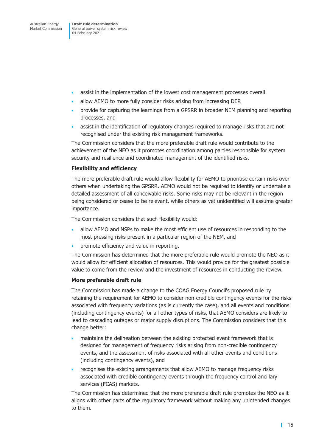- assist in the implementation of the lowest cost management processes overall
- allow AEMO to more fully consider risks arising from increasing DER
- provide for capturing the learnings from a GPSRR in broader NEM planning and reporting processes, and
- assist in the identification of regulatory changes required to manage risks that are not recognised under the existing risk management frameworks.

The Commission considers that the more preferable draft rule would contribute to the achievement of the NEO as it promotes coordination among parties responsible for system security and resilience and coordinated management of the identified risks.

#### **Flexibility and efficiency**

The more preferable draft rule would allow flexibility for AEMO to prioritise certain risks over others when undertaking the GPSRR. AEMO would not be required to identify or undertake a detailed assessment of all conceivable risks. Some risks may not be relevant in the region being considered or cease to be relevant, while others as yet unidentified will assume greater importance.

The Commission considers that such flexibility would:

- allow AEMO and NSPs to make the most efficient use of resources in responding to the most pressing risks present in a particular region of the NEM, and
- promote efficiency and value in reporting.

The Commission has determined that the more preferable rule would promote the NEO as it would allow for efficient allocation of resources. This would provide for the greatest possible value to come from the review and the investment of resources in conducting the review.

#### **More preferable draft rule**

The Commission has made a change to the COAG Energy Council's proposed rule by retaining the requirement for AEMO to consider non-credible contingency events for the risks associated with frequency variations (as is currently the case), and all events and conditions (including contingency events) for all other types of risks, that AEMO considers are likely to lead to cascading outages or major supply disruptions. The Commission considers that this change better:

- maintains the delineation between the existing protected event framework that is designed for management of frequency risks arising from non-credible contingency events, and the assessment of risks associated with all other events and conditions (including contingency events), and
- recognises the existing arrangements that allow AEMO to manage frequency risks associated with credible contingency events through the frequency control ancillary services (FCAS) markets.

The Commission has determined that the more preferable draft rule promotes the NEO as it aligns with other parts of the regulatory framework without making any unintended changes to them.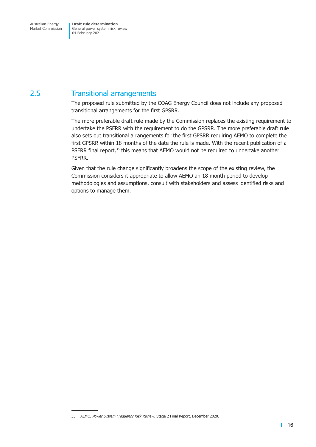# <span id="page-22-0"></span>2.5 Transitional arrangements

The proposed rule submitted by the COAG Energy Council does not include any proposed transitional arrangements for the first GPSRR.

The more preferable draft rule made by the Commission replaces the existing requirement to undertake the PSFRR with the requirement to do the GPSRR. The more preferable draft rule also sets out transitional arrangements for the first GPSRR requiring AEMO to complete the first GPSRR within 18 months of the date the rule is made. With the recent publication of a PSFRR final report,<sup>35</sup> this means that AEMO would not be required to undertake another PSFRR.

Given that the rule change significantly broadens the scope of the existing review, the Commission considers it appropriate to allow AEMO an 18 month period to develop methodologies and assumptions, consult with stakeholders and assess identified risks and options to manage them.

<sup>35</sup> AEMO, *Power System Frequency Risk Review*, Stage 2 Final Report, December 2020.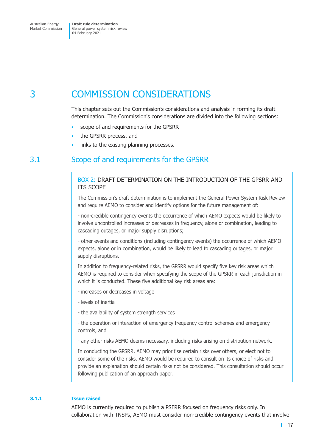# <span id="page-23-0"></span>3 COMMISSION CONSIDERATIONS

This chapter sets out the Commission's considerations and analysis in forming its draft determination. The Commission's considerations are divided into the following sections:

- scope of and requirements for the GPSRR
- the GPSRR process, and
- links to the existing planning processes.

## 3.1 Scope of and requirements for the GPSRR

#### BOX 2: DRAFT DETERMINATION ON THE INTRODUCTION OF THE GPSRR AND ITS SCOPE

The Commission's draft determination is to implement the General Power System Risk Review and require AEMO to consider and identify options for the future management of:

- non-credible contingency events the occurrence of which AEMO expects would be likely to involve uncontrolled increases or decreases in frequency, alone or combination, leading to cascading outages, or major supply disruptions;

- other events and conditions (including contingency events) the occurrence of which AEMO expects, alone or in combination, would be likely to lead to cascading outages, or major supply disruptions.

In addition to frequency-related risks, the GPSRR would specify five key risk areas which AEMO is required to consider when specifying the scope of the GPSRR in each jurisdiction in which it is conducted. These five additional key risk areas are:

- increases or decreases in voltage
- levels of inertia
- the availability of system strength services

- the operation or interaction of emergency frequency control schemes and emergency controls, and

- any other risks AEMO deems necessary, including risks arising on distribution network.

In conducting the GPSRR, AEMO may prioritise certain risks over others, or elect not to consider some of the risks. AEMO would be required to consult on its choice of risks and provide an explanation should certain risks not be considered. This consultation should occur following publication of an approach paper.

#### **3.1.1 Issue raised**

AEMO is currently required to publish a PSFRR focused on frequency risks only. In collaboration with TNSPs, AEMO must consider non-credible contingency events that involve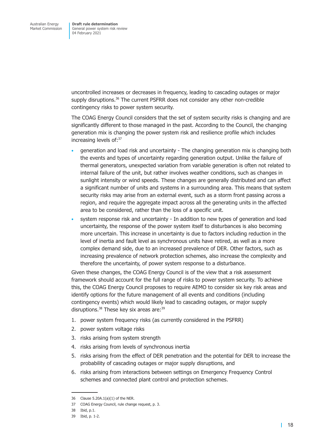uncontrolled increases or decreases in frequency, leading to cascading outages or major supply disruptions.<sup>36</sup> The current PSFRR does not consider any other non-credible contingency risks to power system security.

The COAG Energy Council considers that the set of system security risks is changing and are significantly different to those managed in the past. According to the Council, the changing generation mix is changing the power system risk and resilience profile which includes increasing levels of:37

- generation and load risk and uncertainty The changing generation mix is changing both the events and types of uncertainty regarding generation output. Unlike the failure of thermal generators, unexpected variation from variable generation is often not related to internal failure of the unit, but rather involves weather conditions, such as changes in sunlight intensity or wind speeds. These changes are generally distributed and can affect a significant number of units and systems in a surrounding area. This means that system security risks may arise from an external event, such as a storm front passing across a region, and require the aggregate impact across all the generating units in the affected area to be considered, rather than the loss of a specific unit.
- system response risk and uncertainty In addition to new types of generation and load uncertainty, the response of the power system itself to disturbances is also becoming more uncertain. This increase in uncertainty is due to factors including reduction in the level of inertia and fault level as synchronous units have retired, as well as a more complex demand side, due to an increased prevalence of DER. Other factors, such as increasing prevalence of network protection schemes, also increase the complexity and therefore the uncertainty, of power system response to a disturbance.

Given these changes, the COAG Energy Council is of the view that a risk assessment framework should account for the full range of risks to power system security. To achieve this, the COAG Energy Council proposes to require AEMO to consider six key risk areas and identify options for the future management of all events and conditions (including contingency events) which would likely lead to cascading outages, or major supply disruptions.<sup>38</sup> These key six areas are:<sup>39</sup>

- 1. power system frequency risks (as currently considered in the PSFRR)
- 2. power system voltage risks
- 3. risks arising from system strength
- 4. risks arising from levels of synchronous inertia
- 5. risks arising from the effect of DER penetration and the potential for DER to increase the probability of cascading outages or major supply disruptions, and
- 6. risks arising from interactions between settings on Emergency Frequency Control schemes and connected plant control and protection schemes.

<sup>36</sup> Clause 5.20A.1(a)(1) of the NER.

<sup>37</sup> COAG Energy Council, rule change request, p. 3.

<sup>38</sup> Ibid, p.1.

<sup>39</sup> Ibid, p. 1-2.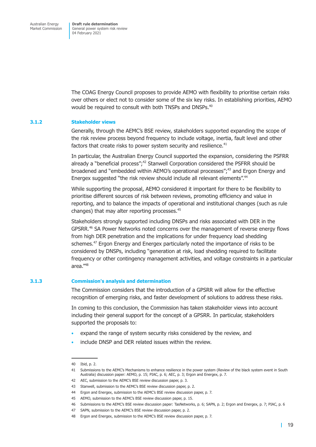The COAG Energy Council proposes to provide AEMO with flexibility to prioritise certain risks over others or elect not to consider some of the six key risks. In establishing priorities, AEMO would be required to consult with both TNSPs and DNSPs.<sup>40</sup>

#### **3.1.2 Stakeholder views**

Generally, through the AEMC's BSE review, stakeholders supported expanding the scope of the risk review process beyond frequency to include voltage, inertia, fault level and other factors that create risks to power system security and resilience. $41$ 

In particular, the Australian Energy Council supported the expansion, considering the PSFRR already a "beneficial process"; $42$  Stanwell Corporation considered the PSFRR should be broadened and "embedded within AEMO's operational processes";<sup>43</sup> and Ergon Energy and Energex suggested "the risk review should include all relevant elements".<sup>44</sup>

While supporting the proposal, AEMO considered it important for there to be flexibility to prioritise different sources of risk between reviews, promoting efficiency and value in reporting, and to balance the impacts of operational and institutional changes (such as rule changes) that may alter reporting processes.45

Stakeholders strongly supported including DNSPs and risks associated with DER in the GPSRR.<sup>46</sup> SA Power Networks noted concerns over the management of reverse energy flows from high DER penetration and the implications for under frequency load shedding schemes.<sup>47</sup> Ergon Energy and Energex particularly noted the importance of risks to be considered by DNSPs, including "generation at risk, load shedding required to facilitate frequency or other contingency management activities, and voltage constraints in a particular area."48

#### **3.1.3 Commission's analysis and determination**

The Commission considers that the introduction of a GPSRR will allow for the effective recognition of emerging risks, and faster development of solutions to address these risks.

In coming to this conclusion, the Commission has taken stakeholder views into account including their general support for the concept of a GPSRR. In particular, stakeholders supported the proposals to:

- expand the range of system security risks considered by the review, and
- include DNSP and DER related issues within the review.

<sup>40</sup> Ibid, p. 2.

<sup>41</sup> Submissions to the AEMC's Mechanisms to enhance resilience in the power system (Review of the black system event in South Australia) discussion paper: AEMO, p. 15; PIAC, p. 6; AEC, p. 3; Ergon and Energex, p. 7.

<sup>42</sup> AEC, submission to the AEMC's BSE review discussion paper, p. 3.

<sup>43</sup> Stanwell, submission to the AEMC's BSE review discussion paper, p. 2.

<sup>44</sup> Ergon and Energex, submission to the AEMC's BSE review discussion paper, p. 7.

<sup>45</sup> AEMO, submission to the AEMC's BSE review discussion paper, p. 15.

<sup>46</sup> Submissions to the AEMC's BSE review discussion paper: TasNetworks, p. 6; SAPN, p. 2; Ergon and Energex, p. 7; PIAC, p. 6

<sup>47</sup> SAPN, submission to the AEMC's BSE review discussion paper, p. 2.

<sup>48</sup> Ergon and Energex, submission to the AEMC's BSE review discussion paper, p. 7.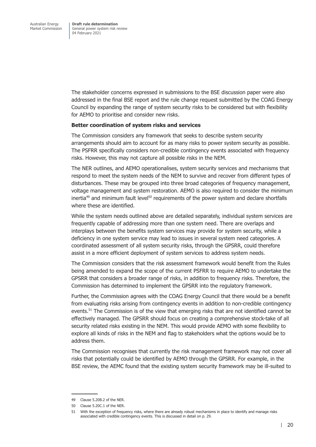The stakeholder concerns expressed in submissions to the BSE discussion paper were also addressed in the final BSE report and the rule change request submitted by the COAG Energy Council by expanding the range of system security risks to be considered but with flexibility for AEMO to prioritise and consider new risks.

#### **Better coordination of system risks and services**

The Commission considers any framework that seeks to describe system security arrangements should aim to account for as many risks to power system security as possible. The PSFRR specifically considers non-credible contingency events associated with frequency risks. However, this may not capture all possible risks in the NEM.

The NER outlines, and AEMO operationalises, system security services and mechanisms that respond to meet the system needs of the NEM to survive and recover from different types of disturbances. These may be grouped into three broad categories of frequency management, voltage management and system restoration. AEMO is also required to consider the minimum inertia<sup>49</sup> and minimum fault level<sup>50</sup> requirements of the power system and declare shortfalls where these are identified.

While the system needs outlined above are detailed separately, individual system services are frequently capable of addressing more than one system need. There are overlaps and interplays between the benefits system services may provide for system security, while a deficiency in one system service may lead to issues in several system need categories. A coordinated assessment of all system security risks, through the GPSRR, could therefore assist in a more efficient deployment of system services to address system needs.

The Commission considers that the risk assessment framework would benefit from the Rules being amended to expand the scope of the current PSFRR to require AEMO to undertake the GPSRR that considers a broader range of risks, in addition to frequency risks. Therefore, the Commission has determined to implement the GPSRR into the regulatory framework.

Further, the Commission agrees with the COAG Energy Council that there would be a benefit from evaluating risks arising from contingency events in addition to non-credible contingency events.<sup>51</sup> The Commission is of the view that emerging risks that are not identified cannot be effectively managed. The GPSRR should focus on creating a comprehensive stock-take of all security related risks existing in the NEM. This would provide AEMO with some flexibility to explore all kinds of risks in the NEM and flag to stakeholders what the options would be to address them.

The Commission recognises that currently the risk management framework may not cover all risks that potentially could be identified by AEMO through the GPSRR. For example, in the BSE review, the AEMC found that the existing system security framework may be ill-suited to

<sup>49</sup> Clause 5.20B.2 of the NER.

<sup>50</sup> Clause 5.20C.1 of the NER.

<sup>51</sup> With the exception of frequency risks, where there are already robust mechanisms in place to identify and manage risks associated with credible contingency events. This is discussed in detail on p. 29.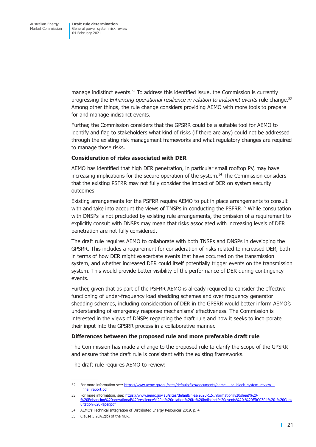manage indistinct events. $52$  To address this identified issue, the Commission is currently progressing the *Enhancing operational resilience in relation to indistinct events* rule change.53 Among other things, the rule change considers providing AEMO with more tools to prepare for and manage indistinct events.

Further, the Commission considers that the GPSRR could be a suitable tool for AEMO to identify and flag to stakeholders what kind of risks (if there are any) could not be addressed through the existing risk management frameworks and what regulatory changes are required to manage those risks.

#### **Consideration of risks associated with DER**

AEMO has identified that high DER penetration, in particular small rooftop PV, may have increasing implications for the secure operation of the system.<sup>54</sup> The Commission considers that the existing PSFRR may not fully consider the impact of DER on system security outcomes.

Existing arrangements for the PSFRR require AEMO to put in place arrangements to consult with and take into account the views of TNSPs in conducting the PSFRR.<sup>55</sup> While consultation with DNSPs is not precluded by existing rule arrangements, the omission of a requirement to explicitly consult with DNSPs may mean that risks associated with increasing levels of DER penetration are not fully considered.

The draft rule requires AEMO to collaborate with both TNSPs and DNSPs in developing the GPSRR. This includes a requirement for consideration of risks related to increased DER, both in terms of how DER might exacerbate events that have occurred on the transmission system, and whether increased DER could itself potentially trigger events on the transmission system. This would provide better visibility of the performance of DER during contingency events.

Further, given that as part of the PSFRR AEMO is already required to consider the effective functioning of under-frequency load shedding schemes and over frequency generator shedding schemes, including consideration of DER in the GPSRR would better inform AEMO's understanding of emergency response mechanisms' effectiveness. The Commission is interested in the views of DNSPs regarding the draft rule and how it seeks to incorporate their input into the GPSRR process in a collaborative manner.

#### **Differences between the proposed rule and more preferable draft rule**

The Commission has made a change to the proposed rule to clarify the scope of the GPSRR and ensure that the draft rule is consistent with the existing frameworks.

The draft rule requires AEMO to review:

<sup>52</sup> For more information see: [https://www.aemc.gov.au/sites/default/files/documents/aemc\\_-\\_sa\\_black\\_system\\_review\\_](https://www.aemc.gov.au/sites/default/files/documents/aemc_-_sa_black_system_review_-_final_report.pdf) final\_report.pdf

<sup>53</sup> For more information, see: [https://www.aemc.gov.au/sites/default/files/2020-12/Information%20sheet%20-](https://www.aemc.gov.au/sites/default/files/2020-12/Information%20sheet%20-%20Enhancing%20operational%20resilience%20in%20relation%20to%20indistinct%20events%20-%20ERC0304%20-%20Consultation%20Paper.pdf) [%20Enhancing%20operational%20resilience%20in%20relation%20to%20indistinct%20events%20-%20ERC0304%20-%20Cons](https://www.aemc.gov.au/sites/default/files/2020-12/Information%20sheet%20-%20Enhancing%20operational%20resilience%20in%20relation%20to%20indistinct%20events%20-%20ERC0304%20-%20Consultation%20Paper.pdf) [ultation%20Paper.pdf](https://www.aemc.gov.au/sites/default/files/2020-12/Information%20sheet%20-%20Enhancing%20operational%20resilience%20in%20relation%20to%20indistinct%20events%20-%20ERC0304%20-%20Consultation%20Paper.pdf)

<sup>54</sup> AEMO's Technical Integration of Distributed Energy Resources 2019, p. 4.

<sup>55</sup> Clause 5.20A.2(b) of the NER.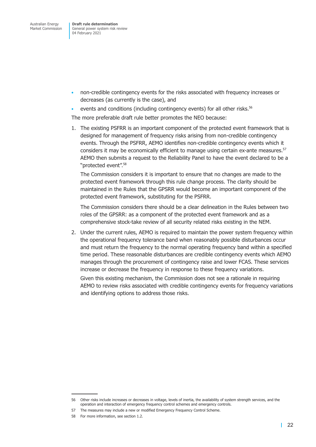- non-credible contingency events for the risks associated with frequency increases or decreases (as currently is the case), and
- events and conditions (including contingency events) for all other risks.<sup>56</sup>

The more preferable draft rule better promotes the NEO because:

1. The existing PSFRR is an important component of the protected event framework that is designed for management of frequency risks arising from non-credible contingency events. Through the PSFRR, AEMO identifies non-credible contingency events which it considers it may be economically efficient to manage using certain ex-ante measures.<sup>57</sup> AEMO then submits a request to the Reliability Panel to have the event declared to be a "protected event".58

The Commission considers it is important to ensure that no changes are made to the protected event framework through this rule change process. The clarity should be maintained in the Rules that the GPSRR would become an important component of the protected event framework, substituting for the PSFRR.

The Commission considers there should be a clear delineation in the Rules between two roles of the GPSRR: as a component of the protected event framework and as a comprehensive stock-take review of all security related risks existing in the NEM.

2. Under the current rules, AEMO is required to maintain the power system frequency within the operational frequency tolerance band when reasonably possible disturbances occur and must return the frequency to the normal operating frequency band within a specified time period. These reasonable disturbances are credible contingency events which AEMO manages through the procurement of contingency raise and lower FCAS. These services increase or decrease the frequency in response to these frequency variations.

Given this existing mechanism, the Commission does not see a rationale in requiring AEMO to review risks associated with credible contingency events for frequency variations and identifying options to address those risks.

<sup>56</sup> Other risks include increases or decreases in voltage, levels of inertia, the availability of system strength services, and the operation and interaction of emergency frequency control schemes and emergency controls.

<sup>57</sup> The measures may include a new or modified Emergency Frequency Control Scheme.

<sup>58</sup> For more information, see section 1.2.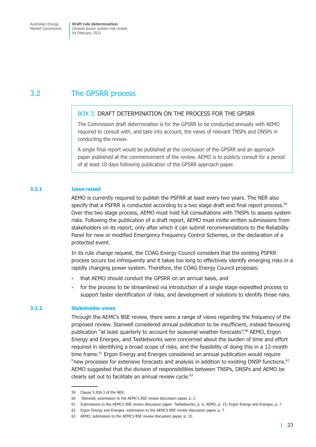# <span id="page-29-0"></span>3.2 The GPSRR process

#### BOX 3: DRAFT DETERMINATION ON THE PROCESS FOR THE GPSRR

The Commission draft determination is for the GPSRR to be conducted annually with AEMO required to consult with, and take into account, the views of relevant TNSPs and DNSPs in conducting the review.

A single final report would be published at the conclusion of the GPSRR and an approach paper published at the commencement of the review. AEMO is to publicly consult for a period of at least 10 days following publication of the GPSRR approach paper.

#### **3.2.1 Issue raised**

AEMO is currently required to publish the PSFRR at least every two years. The NER also specify that a PSFRR is conducted according to a two stage draft and final report process.<sup>59</sup> Over this two stage process, AEMO must hold full consultations with TNSPs to assess system risks. Following the publication of a draft report, AEMO must invite written submissions from stakeholders on its report, only after which it can submit recommendations to the Reliability Panel for new or modified Emergency Frequency Control Schemes, or the declaration of a protected event.

In its rule change request, the COAG Energy Council considers that the existing PSFRR process occurs too infrequently and it takes too long to effectively identify emerging risks in a rapidly changing power system. Therefore, the COAG Energy Council proposes:

- that AEMO should conduct the GPSRR on an annual basis, and
- for the process to be streamlined via introduction of a single stage expedited process to support faster identification of risks, and development of solutions to identify those risks.

#### **3.2.2 Stakeholder views**

Through the AEMC's BSE review, there were a range of views regarding the frequency of the proposed review. Stanwell considered annual publication to be insufficient, instead favouring publication "at least quarterly to account for seasonal weather forecasts".<sup>60</sup> AEMO, Ergon Energy and Energex, and TasNetworks were concerned about the burden of time and effort required in identifying a broad scope of risks, and the feasibility of doing this in a 12-month time frame.<sup>61</sup> Ergon Energy and Energex considered an annual publication would require "new processes for extensive forecasts and analysis in addition to existing DNSP functions.<sup>62</sup> AEMO suggested that the division of responsibilities between TNSPs, DNSPs and AEMO be clearly set out to facilitate an annual review cycle.<sup>63</sup>

<sup>59</sup> Clause 5.20A.3 of the NER.

<sup>60</sup> Stanwell, submission to the AEMC's BSE review discussion paper, p. 2.

<sup>61</sup> Submissions to the AEMC's BSE review discussion paper: TasNetworks, p. 6; AEMO, p. 15; Ergon Energy and Energex, p. 7.

<sup>62</sup> Ergon Energy and Energex, submission to the AEMC's BSE review discussion paper, p. 7.

<sup>63</sup> AEMO, submission to the AEMC's BSE review discussion paper, p. 15.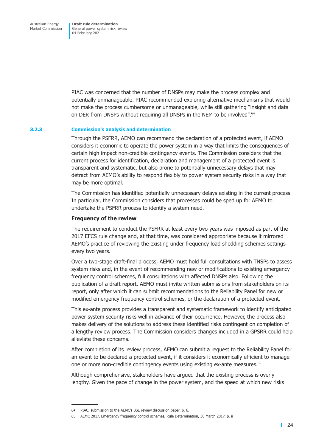PIAC was concerned that the number of DNSPs may make the process complex and potentially unmanageable. PIAC recommended exploring alternative mechanisms that would not make the process cumbersome or unmanageable, while still gathering "insight and data on DER from DNSPs without requiring all DNSPs in the NEM to be involved".<sup>64</sup>

#### **3.2.3 Commission's analysis and determination**

Through the PSFRR, AEMO can recommend the declaration of a protected event, if AEMO considers it economic to operate the power system in a way that limits the consequences of certain high impact non-credible contingency events. The Commission considers that the current process for identification, declaration and management of a protected event is transparent and systematic, but also prone to potentially unnecessary delays that may detract from AEMO's ability to respond flexibly to power system security risks in a way that may be more optimal.

The Commission has identified potentially unnecessary delays existing in the current process. In particular, the Commission considers that processes could be sped up for AEMO to undertake the PSFRR process to identify a system need.

#### **Frequency of the review**

The requirement to conduct the PSFRR at least every two years was imposed as part of the 2017 EFCS rule change and, at that time, was considered appropriate because it mirrored AEMO's practice of reviewing the existing under frequency load shedding schemes settings every two years.

Over a two-stage draft-final process, AEMO must hold full consultations with TNSPs to assess system risks and, in the event of recommending new or modifications to existing emergency frequency control schemes, full consultations with affected DNSPs also. Following the publication of a draft report, AEMO must invite written submissions from stakeholders on its report, only after which it can submit recommendations to the Reliability Panel for new or modified emergency frequency control schemes, or the declaration of a protected event.

This ex-ante process provides a transparent and systematic framework to identify anticipated power system security risks well in advance of their occurrence. However, the process also makes delivery of the solutions to address these identified risks contingent on completion of a lengthy review process. The Commission considers changes included in a GPSRR could help alleviate these concerns.

After completion of its review process, AEMO can submit a request to the Reliability Panel for an event to be declared a protected event, if it considers it economically efficient to manage one or more non-credible contingency events using existing ex-ante measures.<sup>65</sup>

Although comprehensive, stakeholders have argued that the existing process is overly lengthy. Given the pace of change in the power system, and the speed at which new risks

<sup>64</sup> PIAC, submission to the AEMC's BSE review discussion paper, p. 6.

<sup>65</sup> AEMC 2017, Emergency frequency control schemes, Rule Determination, 30 March 2017, p. ii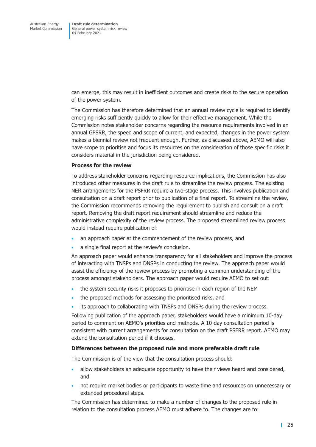can emerge, this may result in inefficient outcomes and create risks to the secure operation of the power system.

The Commission has therefore determined that an annual review cycle is required to identify emerging risks sufficiently quickly to allow for their effective management. While the Commission notes stakeholder concerns regarding the resource requirements involved in an annual GPSRR, the speed and scope of current, and expected, changes in the power system makes a biennial review not frequent enough. Further, as discussed above, AEMO will also have scope to prioritise and focus its resources on the consideration of those specific risks it considers material in the jurisdiction being considered.

#### **Process for the review**

To address stakeholder concerns regarding resource implications, the Commission has also introduced other measures in the draft rule to streamline the review process. The existing NER arrangements for the PSFRR require a two-stage process. This involves publication and consultation on a draft report prior to publication of a final report. To streamline the review, the Commission recommends removing the requirement to publish and consult on a draft report. Removing the draft report requirement should streamline and reduce the administrative complexity of the review process. The proposed streamlined review process would instead require publication of:

- an approach paper at the commencement of the review process, and
- a single final report at the review's conclusion.

An approach paper would enhance transparency for all stakeholders and improve the process of interacting with TNSPs and DNSPs in conducting the review. The approach paper would assist the efficiency of the review process by promoting a common understanding of the process amongst stakeholders. The approach paper would require AEMO to set out:

- the system security risks it proposes to prioritise in each region of the NEM
- the proposed methods for assessing the prioritised risks, and
- its approach to collaborating with TNSPs and DNSPs during the review process.

Following publication of the approach paper, stakeholders would have a minimum 10-day period to comment on AEMO's priorities and methods. A 10-day consultation period is consistent with current arrangements for consultation on the draft PSFRR report. AEMO may extend the consultation period if it chooses.

#### **Differences between the proposed rule and more preferable draft rule**

The Commission is of the view that the consultation process should:

- allow stakeholders an adequate opportunity to have their views heard and considered, and
- not require market bodies or participants to waste time and resources on unnecessary or extended procedural steps.

The Commission has determined to make a number of changes to the proposed rule in relation to the consultation process AEMO must adhere to. The changes are to: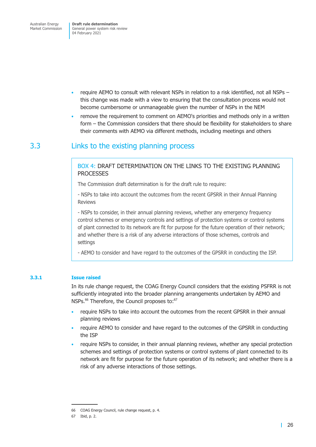<span id="page-32-0"></span>Australian Energy Market Commission **Draft rule determination** General power system risk review 04 February 2021

- require AEMO to consult with relevant NSPs in relation to a risk identified, not all NSPs this change was made with a view to ensuring that the consultation process would not become cumbersome or unmanageable given the number of NSPs in the NEM
- remove the requirement to comment on AEMO's priorities and methods only in a written form – the Commission considers that there should be flexibility for stakeholders to share their comments with AEMO via different methods, including meetings and others

# 3.3 Links to the existing planning process

#### BOX 4: DRAFT DETERMINATION ON THE LINKS TO THE EXISTING PLANNING **PROCESSES**

The Commission draft determination is for the draft rule to require:

- NSPs to take into account the outcomes from the recent GPSRR in their Annual Planning Reviews

- NSPs to consider, in their annual planning reviews, whether any emergency frequency control schemes or emergency controls and settings of protection systems or control systems of plant connected to its network are fit for purpose for the future operation of their network; and whether there is a risk of any adverse interactions of those schemes, controls and settings

- AEMO to consider and have regard to the outcomes of the GPSRR in conducting the ISP.

#### **3.3.1 Issue raised**

In its rule change request, the COAG Energy Council considers that the existing PSFRR is not sufficiently integrated into the broader planning arrangements undertaken by AEMO and NSPs.<sup>66</sup> Therefore, the Council proposes to:<sup>67</sup>

- require NSPs to take into account the outcomes from the recent GPSRR in their annual planning reviews
- require AEMO to consider and have regard to the outcomes of the GPSRR in conducting the ISP
- require NSPs to consider, in their annual planning reviews, whether any special protection schemes and settings of protection systems or control systems of plant connected to its network are fit for purpose for the future operation of its network; and whether there is a risk of any adverse interactions of those settings.

<sup>66</sup> COAG Energy Council, rule change request, p. 4.

<sup>67</sup> Ibid, p. 2.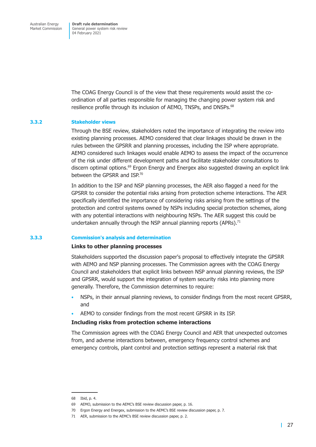The COAG Energy Council is of the view that these requirements would assist the coordination of all parties responsible for managing the changing power system risk and resilience profile through its inclusion of AEMO, TNSPs, and DNSPs.<sup>68</sup>

#### **3.3.2 Stakeholder views**

Through the BSE review, stakeholders noted the importance of integrating the review into existing planning processes. AEMO considered that clear linkages should be drawn in the rules between the GPSRR and planning processes, including the ISP where appropriate. AEMO considered such linkages would enable AEMO to assess the impact of the occurrence of the risk under different development paths and facilitate stakeholder consultations to discern optimal options.<sup>69</sup> Ergon Energy and Energex also suggested drawing an explicit link between the GPSRR and ISP.<sup>70</sup>

In addition to the ISP and NSP planning processes, the AER also flagged a need for the GPSRR to consider the potential risks arising from protection scheme interactions. The AER specifically identified the importance of considering risks arising from the settings of the protection and control systems owned by NSPs including special protection schemes, along with any potential interactions with neighbouring NSPs. The AER suggest this could be undertaken annually through the NSP annual planning reports (APRs). $71$ 

#### **3.3.3 Commission's analysis and determination**

#### **Links to other planning processes**

Stakeholders supported the discussion paper's proposal to effectively integrate the GPSRR with AEMO and NSP planning processes. The Commission agrees with the COAG Energy Council and stakeholders that explicit links between NSP annual planning reviews, the ISP and GPSRR, would support the integration of system security risks into planning more generally. Therefore, the Commission determines to require:

- NSPs, in their annual planning reviews, to consider findings from the most recent GPSRR, and
- AEMO to consider findings from the most recent GPSRR in its ISP.

#### **Including risks from protection scheme interactions**

The Commission agrees with the COAG Energy Council and AER that unexpected outcomes from, and adverse interactions between, emergency frequency control schemes and emergency controls, plant control and protection settings represent a material risk that

<sup>68</sup> Ibid, p. 4.

<sup>69</sup> AEMO, submission to the AEMC's BSE review discussion paper, p. 16.

<sup>70</sup> Ergon Energy and Energex, submission to the AEMC's BSE review discussion paper, p. 7.

<sup>71</sup> AER, submission to the AEMC's BSE review discussion paper, p. 2.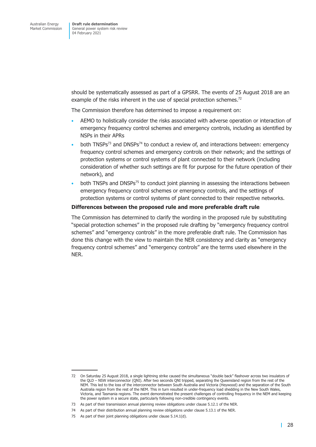should be systematically assessed as part of a GPSRR. The events of 25 August 2018 are an example of the risks inherent in the use of special protection schemes.<sup>72</sup>

The Commission therefore has determined to impose a requirement on:

- AEMO to holistically consider the risks associated with adverse operation or interaction of emergency frequency control schemes and emergency controls, including as identified by NSPs in their APRs
- both TNSPs<sup>73</sup> and DNSPs<sup>74</sup> to conduct a review of, and interactions between: emergency frequency control schemes and emergency controls on their network; and the settings of protection systems or control systems of plant connected to their network (including consideration of whether such settings are fit for purpose for the future operation of their network), and
- both TNSPs and DNSPs<sup>75</sup> to conduct joint planning in assessing the interactions between emergency frequency control schemes or emergency controls, and the settings of protection systems or control systems of plant connected to their respective networks.

#### **Differences between the proposed rule and more preferable draft rule**

The Commission has determined to clarify the wording in the proposed rule by substituting "special protection schemes" in the proposed rule drafting by "emergency frequency control schemes" and "emergency controls" in the more preferable draft rule. The Commission has done this change with the view to maintain the NER consistency and clarity as "emergency frequency control schemes" and "emergency controls" are the terms used elsewhere in the NER.

<sup>72</sup> On Saturday 25 August 2018, a single lightning strike caused the simultaneous "double back" flashover across two insulators of the QLD – NSW interconnector (QNI). After two seconds QNI tripped, separating the Queensland region from the rest of the NEM. This led to the loss of the interconnector between South Australia and Victoria (Heywood) and the separation of the South Australia region from the rest of the NEM. This in turn resulted in under-frequency load shedding in the New South Wales, Victoria, and Tasmania regions. The event demonstrated the present challenges of controlling frequency in the NEM and keeping the power system in a secure state, particularly following non-credible contingency events.

<sup>73</sup> As part of their transmission annual planning review obligations under clause 5.12.1 of the NER.

<sup>74</sup> As part of their distribution annual planning review obligations under clause 5.13.1 of the NER.

<sup>75</sup> As part of their joint planning obligations under clause 5.14.1(d).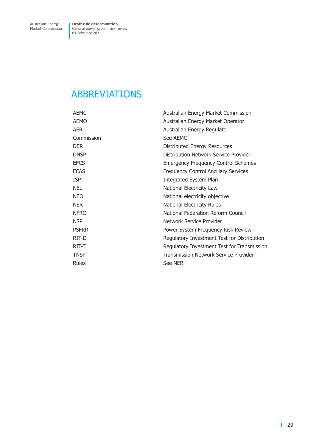# <span id="page-35-0"></span>ABBREVIATIONS

| AEMC         | Australian Energy Market Commission         |
|--------------|---------------------------------------------|
| AEMO         | Australian Energy Market Operator           |
| AER          | Australian Energy Regulator                 |
| Commission   | See AEMC                                    |
| <b>DER</b>   | Distributed Energy Resources                |
| <b>DNSP</b>  | Distribution Network Service Provider       |
| <b>EFCS</b>  | <b>Emergency Frequency Control Schemes</b>  |
| <b>FCAS</b>  | Frequency Control Ancillary Services        |
| ISP          | Integrated System Plan                      |
| NEL          | National Electricity Law                    |
| <b>NEO</b>   | National electricity objective              |
| NER.         | <b>National Electricity Rules</b>           |
| <b>NFRC</b>  | National Federation Reform Council          |
| NSP          | Network Service Provider                    |
| <b>PSFRR</b> | Power System Frequency Risk Review          |
| RIT-D        | Regulatory Investment Test for Distribution |
| RIT-T        | Regulatory Investment Test for Transmission |
| <b>TNSP</b>  | Transmission Network Service Provider       |
| Rules        | See NER                                     |
|              |                                             |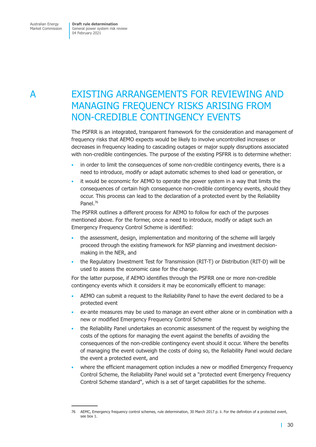<span id="page-36-0"></span>Australian Energy Market Commission **Draft rule determination** General power system risk review 04 February 2021

# A EXISTING ARRANGEMENTS FOR REVIEWING AND MANAGING FREQUENCY RISKS ARISING FROM NON-CREDIBLE CONTINGENCY EVENTS

The PSFRR is an integrated, transparent framework for the consideration and management of frequency risks that AEMO expects would be likely to involve uncontrolled increases or decreases in frequency leading to cascading outages or major supply disruptions associated with non-credible contingencies. The purpose of the existing PSFRR is to determine whether:

- in order to limit the consequences of some non-credible contingency events, there is a need to introduce, modify or adapt automatic schemes to shed load or generation, or
- it would be economic for AEMO to operate the power system in a way that limits the consequences of certain high consequence non-credible contingency events, should they occur. This process can lead to the declaration of a protected event by the Reliability Panel.76

The PSFRR outlines a different process for AEMO to follow for each of the purposes mentioned above. For the former, once a need to introduce, modify or adapt such an Emergency Frequency Control Scheme is identified:

- the assessment, design, implementation and monitoring of the scheme will largely proceed through the existing framework for NSP planning and investment decisionmaking in the NER, and
- the Regulatory Investment Test for Transmission (RIT-T) or Distribution (RIT-D) will be used to assess the economic case for the change.

For the latter purpose, if AEMO identifies through the PSFRR one or more non-credible contingency events which it considers it may be economically efficient to manage:

- AEMO can submit a request to the Reliability Panel to have the event declared to be a protected event
- ex-ante measures may be used to manage an event either alone or in combination with a new or modified Emergency Frequency Control Scheme
- the Reliability Panel undertakes an economic assessment of the request by weighing the costs of the options for managing the event against the benefits of avoiding the consequences of the non-credible contingency event should it occur. Where the benefits of managing the event outweigh the costs of doing so, the Reliability Panel would declare the event a protected event, and
- where the efficient management option includes a new or modified Emergency Frequency Control Scheme, the Reliability Panel would set a "protected event Emergency Frequency Control Scheme standard", which is a set of target capabilities for the scheme.

<sup>76</sup> AEMC, Emergency frequency control schemes, rule determination, 30 March 2017 p. ii. For the definition of a protected event, see box 1.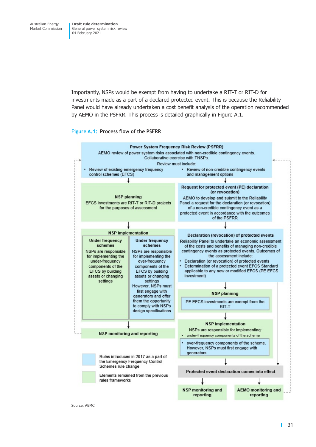<span id="page-37-0"></span>Importantly, NSPs would be exempt from having to undertake a RIT-T or RIT-D for investments made as a part of a declared protected event. This is because the Reliability Panel would have already undertaken a cost benefit analysis of the operation recommended by AEMO in the PSFRR. This process is detailed graphically in Figure A.1.

#### **Figure A.1: Process flow of the PSFRR**

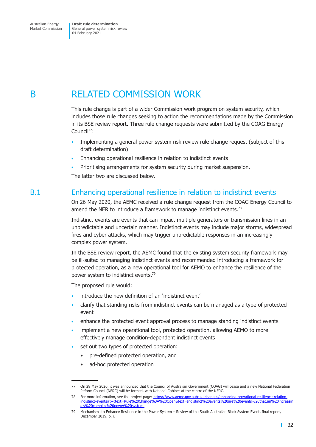<span id="page-38-0"></span>B RELATED COMMISSION WORK

This rule change is part of a wider Commission work program on system security, which includes those rule changes seeking to action the recommendations made by the Commission in its BSE review report. Three rule change requests were submitted by the COAG Energy Council<sup>77</sup>:

- Implementing a general power system risk review rule change request (subject of this draft determination)
- Enhancing operational resilience in relation to indistinct events
- Prioritising arrangements for system security during market suspension.

The latter two are discussed below.

# B.1 Enhancing operational resilience in relation to indistinct events

On 26 May 2020, the AEMC received a rule change request from the COAG Energy Council to amend the NER to introduce a framework to manage indistinct events.<sup>78</sup>

Indistinct events are events that can impact multiple generators or transmission lines in an unpredictable and uncertain manner. Indistinct events may include major storms, widespread fires and cyber attacks, which may trigger unpredictable responses in an increasingly complex power system.

In the BSE review report, the AEMC found that the existing system security framework may be ill-suited to managing indistinct events and recommended introducing a framework for protected operation, as a new operational tool for AEMO to enhance the resilience of the power system to indistinct events.<sup>79</sup>

The proposed rule would:

- introduce the new definition of an 'indistinct event'
- clarify that standing risks from indistinct events can be managed as a type of protected event
- enhance the protected event approval process to manage standing indistinct events
- implement a new operational tool, protected operation, allowing AEMO to more effectively manage condition-dependent indistinct events
- set out two types of protected operation:
	- pre-defined protected operation, and
	- ad-hoc protected operation

<sup>77</sup> On 29 May 2020, it was announced that the Council of Australian Government (COAG) will cease and a new National Federation Reform Council (NFRC) will be formed, with National Cabinet at the centre of the NFRC.

<sup>78</sup> For more information, see the project page: [https://www.aemc.gov.au/rule-changes/enhancing-operational-resilience-relation](https://www.aemc.gov.au/rule-changes/enhancing-operational-resilience-relation-indistinct-events#:~:text=Rule%20Change%3A%20Open&text=Indistinct%20events%20are%20events%20that,an%20increasingly%20complex%20power%20system.)[indistinct-events#:~:text=Rule%20Change%3A%20Open&text=Indistinct%20events%20are%20events%20that,an%20increasin](https://www.aemc.gov.au/rule-changes/enhancing-operational-resilience-relation-indistinct-events#:~:text=Rule%20Change%3A%20Open&text=Indistinct%20events%20are%20events%20that,an%20increasingly%20complex%20power%20system.) [gly%20complex%20power%20system.](https://www.aemc.gov.au/rule-changes/enhancing-operational-resilience-relation-indistinct-events#:~:text=Rule%20Change%3A%20Open&text=Indistinct%20events%20are%20events%20that,an%20increasingly%20complex%20power%20system.)

<sup>79</sup> Mechanisms to Enhance Resilience in the Power System – Review of the South Australian Black System Event, final report, December 2019, p. i.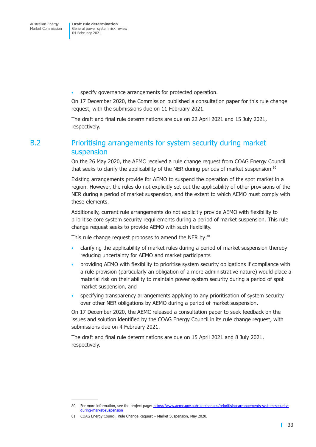<span id="page-39-0"></span>• specify governance arrangements for protected operation.

On 17 December 2020, the Commission published a consultation paper for this rule change request, with the submissions due on 11 February 2021.

The draft and final rule determinations are due on 22 April 2021 and 15 July 2021, respectively.

# B.2 Prioritising arrangements for system security during market suspension

On the 26 May 2020, the AEMC received a rule change request from COAG Energy Council that seeks to clarify the applicability of the NER during periods of market suspension.<sup>80</sup>

Existing arrangements provide for AEMO to suspend the operation of the spot market in a region. However, the rules do not explicitly set out the applicability of other provisions of the NER during a period of market suspension, and the extent to which AEMO must comply with these elements.

Additionally, current rule arrangements do not explicitly provide AEMO with flexibility to prioritise core system security requirements during a period of market suspension. This rule change request seeks to provide AEMO with such flexibility.

This rule change request proposes to amend the NER by:<sup>81</sup>

- clarifying the applicability of market rules during a period of market suspension thereby reducing uncertainty for AEMO and market participants
- providing AEMO with flexibility to prioritise system security obligations if compliance with a rule provision (particularly an obligation of a more administrative nature) would place a material risk on their ability to maintain power system security during a period of spot market suspension, and
- specifying transparency arrangements applying to any prioritisation of system security over other NER obligations by AEMO during a period of market suspension.

On 17 December 2020, the AEMC released a consultation paper to seek feedback on the issues and solution identified by the COAG Energy Council in its rule change request, with submissions due on 4 February 2021.

The draft and final rule determinations are due on 15 April 2021 and 8 July 2021, respectively.

<sup>80</sup> For more information, see the project page: [https://www.aemc.gov.au/rule-changes/prioritising-arrangements-system-security](https://www.aemc.gov.au/rule-changes/prioritising-arrangements-system-security-during-market-suspension)[during-market-suspension](https://www.aemc.gov.au/rule-changes/prioritising-arrangements-system-security-during-market-suspension)

<sup>81</sup> COAG Energy Council, Rule Change Request – Market Suspension, May 2020.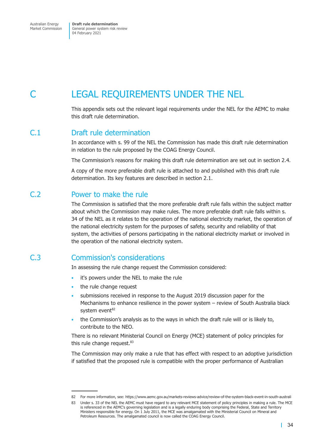<span id="page-40-0"></span>Australian Energy Market Commission

**Draft rule determination** General power system risk review 04 February 2021

# LEGAL REQUIREMENTS UNDER THE NEL

This appendix sets out the relevant legal requirements under the NEL for the AEMC to make this draft rule determination.

# C.1 Draft rule determination

In accordance with s. 99 of the NEL the Commission has made this draft rule determination in relation to the rule proposed by the COAG Energy Council.

The Commission's reasons for making this draft rule determination are set out in section 2.4.

A copy of the more preferable draft rule is attached to and published with this draft rule determination. Its key features are described in section 2.1.

## C.2 Power to make the rule

The Commission is satisfied that the more preferable draft rule falls within the subject matter about which the Commission may make rules. The more preferable draft rule falls within s. 34 of the NEL as it relates to the operation of the national electricity market, the operation of the national electricity system for the purposes of safety, security and reliability of that system, the activities of persons participating in the national electricity market or involved in the operation of the national electricity system.

## C.3 Commission's considerations

In assessing the rule change request the Commission considered:

- it's powers under the NEL to make the rule
- the rule change request
- submissions received in response to the August 2019 discussion paper for the Mechanisms to enhance resilience in the power system – review of South Australia black system event<sup>82</sup>
- the Commission's analysis as to the ways in which the draft rule will or is likely to, contribute to the NEO.

There is no relevant Ministerial Council on Energy (MCE) statement of policy principles for this rule change request.<sup>83</sup>

The Commission may only make a rule that has effect with respect to an adoptive jurisdiction if satisfied that the proposed rule is compatible with the proper performance of Australian

<sup>82</sup> For more information, see: https://www.aemc.gov.au/markets-reviews-advice/review-of-the-system-black-event-in-south-australi

<sup>83</sup> Under s. 33 of the NEL the AEMC must have regard to any relevant MCE statement of policy principles in making a rule. The MCE is referenced in the AEMC's governing legislation and is a legally enduring body comprising the Federal, State and Territory Ministers responsible for energy. On 1 July 2011, the MCE was amalgamated with the Ministerial Council on Mineral and Petroleum Resources. The amalgamated council is now called the COAG Energy Council.